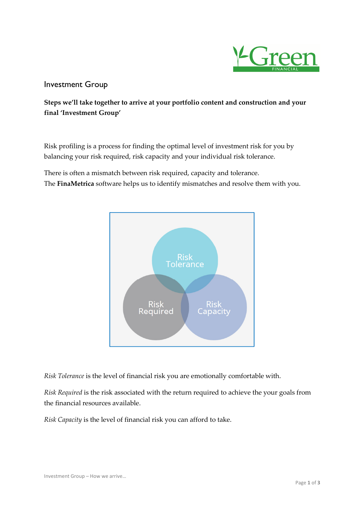

## Investment Group

Steps we'll take together to arrive at your portfolio content and construction and your final 'Investment Group'

Risk profiling is a process for finding the optimal level of investment risk for you by balancing your risk required, risk capacity and your individual risk tolerance.

There is often a mismatch between risk required, capacity and tolerance. The FinaMetrica software helps us to identify mismatches and resolve them with you.



Risk Tolerance is the level of financial risk you are emotionally comfortable with.

Risk Required is the risk associated with the return required to achieve the your goals from the financial resources available.

Risk Capacity is the level of financial risk you can afford to take.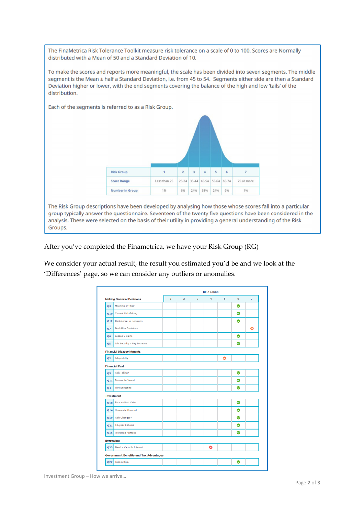The FinaMetrica Risk Tolerance Toolkit measure risk tolerance on a scale of 0 to 100. Scores are Normally distributed with a Mean of 50 and a Standard Deviation of 10.

To make the scores and reports more meaningful, the scale has been divided into seven segments. The middle segment is the Mean ± half a Standard Deviation, i.e. from 45 to 54. Segments either side are then a Standard Deviation higher or lower, with the end segments covering the balance of the high and low 'tails' of the distribution.

> **Risk Group**  $\bar{z}$  $\overline{\mathbf{3}}$  $\overline{4}$  $\overline{\phantom{a}}$  $\epsilon$ **Score Range** Less than 25 25-34 35-44 45-54 55-64 65-74 75 or more **Number in Group** 1%  $696$ 24% 38% 24% 6% 1%

The Risk Group descriptions have been developed by analysing how those whose scores fall into a particular group typically answer the questionnaire. Seventeen of the twenty five questions have been considered in the analysis. These were selected on the basis of their utility in providing a general understanding of the Risk Groups.

After you've completed the Finametrica, we have your Risk Group (RG)

Each of the segments is referred to as a Risk Group.

We consider your actual result, the result you estimated you'd be and we look at the 'Differences' page, so we can consider any outliers or anomalies.

|                |                                               | <b>RISK GROUP</b> |               |                |   |                         |   |                |
|----------------|-----------------------------------------------|-------------------|---------------|----------------|---|-------------------------|---|----------------|
|                | <b>Making Financial Decisions</b>             | $\mathbf{1}$      | $\mathcal{D}$ | $\overline{3}$ | 4 | $\overline{\mathbf{5}}$ | 6 | $\overline{7}$ |
| 03             | Meaning of "Risk"                             |                   |               |                |   |                         | ◎ |                |
|                | Q10 Current Risk-Taking                       |                   |               |                |   |                         | ◎ |                |
|                | Q12 Confidence In Decisions                   |                   |               |                |   |                         | ◎ |                |
| 07             | <b>Feel After Decisions</b>                   |                   |               |                |   |                         |   | ◎              |
| 06             | <b>Losses v Gains</b>                         |                   |               |                |   |                         | ◎ |                |
| Q5             | Job Security v Pay Increase                   |                   |               |                |   |                         | ◎ |                |
|                | <b>Financial Disappointments</b>              |                   |               |                |   |                         |   |                |
| 02             | Adaptability                                  |                   |               |                |   | ◎                       |   |                |
|                | <b>Financial Past</b>                         |                   |               |                |   |                         |   |                |
| Q <sub>9</sub> | <b>Risk Taking?</b>                           |                   |               |                |   |                         | ◎ |                |
|                | Q11 Borrow to Invest                          |                   |               |                |   |                         | ◎ |                |
| 04             | <b>Thrill Investing</b>                       |                   |               |                |   |                         | ◙ |                |
|                | <b>Investment</b>                             |                   |               |                |   |                         |   |                |
|                | Q18 Face vs Real Value                        |                   |               |                |   |                         | ◎ |                |
|                | 014 Downside Comfort                          |                   |               |                |   |                         | ☎ |                |
|                | 019 Risk Changes?                             |                   |               |                |   |                         | ◙ |                |
|                | Q21 10-year Returns                           |                   |               |                |   |                         | ◎ |                |
|                | Q16 Preferred Portfolio                       |                   |               |                |   |                         | ◎ |                |
|                | <b>Borrowing</b>                              |                   |               |                |   |                         |   |                |
| Q23            | <b>Fixed v Variable Interest</b>              |                   |               |                | ◎ |                         |   |                |
|                | <b>Government Benefits and Tax Advantages</b> |                   |               |                |   |                         |   |                |
|                | Take a Risk?<br>022                           |                   |               |                |   |                         | ◎ |                |